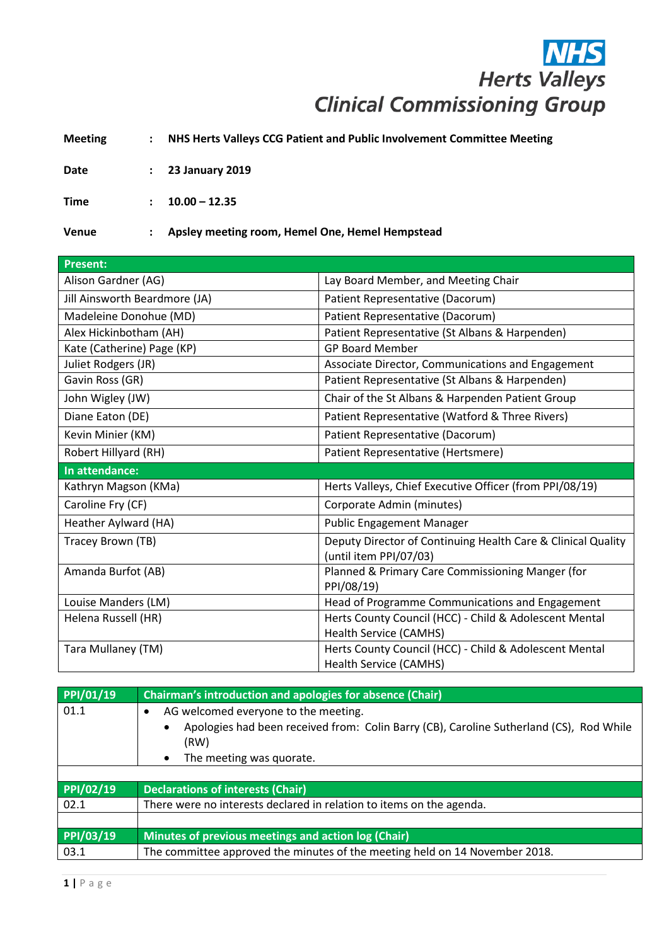## **NHS**<br>Herts Valleys **Clinical Commissioning Group**

**Meeting : NHS Herts Valleys CCG Patient and Public Involvement Committee Meeting**

**Date : 23 January 2019**

**Time : 10.00 – 12.35**

**Venue : Apsley meeting room, Hemel One, Hemel Hempstead**

| <b>Present:</b>               |                                                                                        |
|-------------------------------|----------------------------------------------------------------------------------------|
| Alison Gardner (AG)           | Lay Board Member, and Meeting Chair                                                    |
| Jill Ainsworth Beardmore (JA) | Patient Representative (Dacorum)                                                       |
| Madeleine Donohue (MD)        | Patient Representative (Dacorum)                                                       |
| Alex Hickinbotham (AH)        | Patient Representative (St Albans & Harpenden)                                         |
| Kate (Catherine) Page (KP)    | <b>GP Board Member</b>                                                                 |
| Juliet Rodgers (JR)           | Associate Director, Communications and Engagement                                      |
| Gavin Ross (GR)               | Patient Representative (St Albans & Harpenden)                                         |
| John Wigley (JW)              | Chair of the St Albans & Harpenden Patient Group                                       |
| Diane Eaton (DE)              | Patient Representative (Watford & Three Rivers)                                        |
| Kevin Minier (KM)             | Patient Representative (Dacorum)                                                       |
| Robert Hillyard (RH)          | Patient Representative (Hertsmere)                                                     |
| In attendance:                |                                                                                        |
| Kathryn Magson (KMa)          | Herts Valleys, Chief Executive Officer (from PPI/08/19)                                |
| Caroline Fry (CF)             | Corporate Admin (minutes)                                                              |
| Heather Aylward (HA)          | <b>Public Engagement Manager</b>                                                       |
| Tracey Brown (TB)             | Deputy Director of Continuing Health Care & Clinical Quality<br>(until item PPI/07/03) |
| Amanda Burfot (AB)            | Planned & Primary Care Commissioning Manger (for<br>PPI/08/19)                         |
| Louise Manders (LM)           | Head of Programme Communications and Engagement                                        |
| Helena Russell (HR)           | Herts County Council (HCC) - Child & Adolescent Mental                                 |
|                               | Health Service (CAMHS)                                                                 |
| Tara Mullaney (TM)            | Herts County Council (HCC) - Child & Adolescent Mental                                 |
|                               | <b>Health Service (CAMHS)</b>                                                          |

| PPI/01/19 | <b>Chairman's introduction and apologies for absence (Chair)</b>                                                                                                                 |
|-----------|----------------------------------------------------------------------------------------------------------------------------------------------------------------------------------|
| 01.1      | AG welcomed everyone to the meeting.<br>Apologies had been received from: Colin Barry (CB), Caroline Sutherland (CS), Rod While<br>(RW)<br>The meeting was quorate.<br>$\bullet$ |
|           |                                                                                                                                                                                  |
| PPI/02/19 | <b>Declarations of interests (Chair)</b>                                                                                                                                         |
| 02.1      | There were no interests declared in relation to items on the agenda.                                                                                                             |
|           |                                                                                                                                                                                  |
| PPI/03/19 | Minutes of previous meetings and action log (Chair)                                                                                                                              |
| 03.1      | The committee approved the minutes of the meeting held on 14 November 2018.                                                                                                      |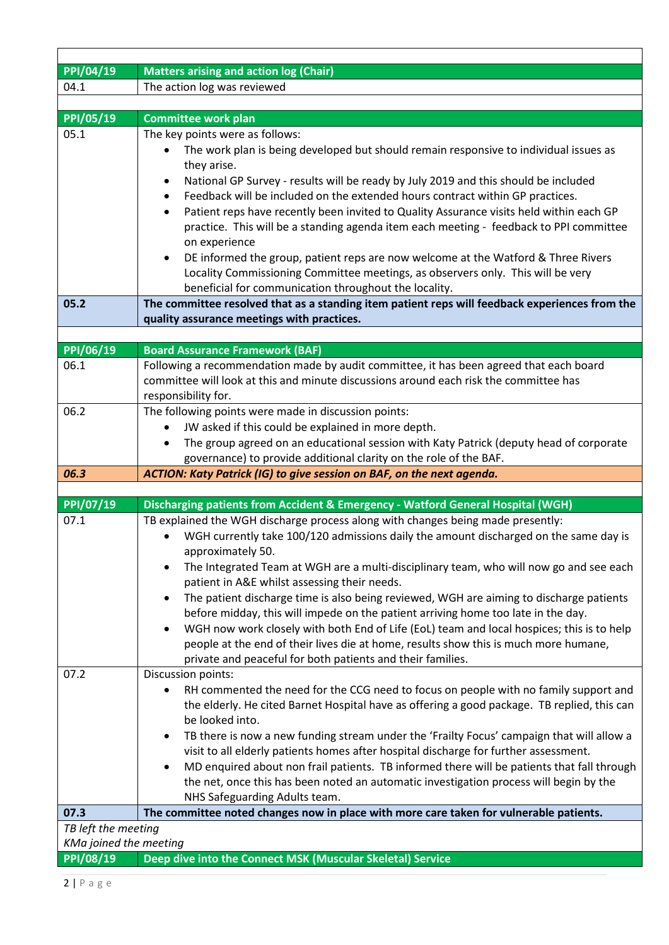| PPI/04/19              | <b>Matters arising and action log (Chair)</b>                                                                                                                                   |  |
|------------------------|---------------------------------------------------------------------------------------------------------------------------------------------------------------------------------|--|
| 04.1                   | The action log was reviewed                                                                                                                                                     |  |
|                        |                                                                                                                                                                                 |  |
| PPI/05/19              | <b>Committee work plan</b>                                                                                                                                                      |  |
| 05.1                   | The key points were as follows:                                                                                                                                                 |  |
|                        | The work plan is being developed but should remain responsive to individual issues as                                                                                           |  |
|                        | they arise.                                                                                                                                                                     |  |
|                        | National GP Survey - results will be ready by July 2019 and this should be included<br>٠                                                                                        |  |
|                        | Feedback will be included on the extended hours contract within GP practices.<br>$\bullet$                                                                                      |  |
|                        | Patient reps have recently been invited to Quality Assurance visits held within each GP<br>$\bullet$                                                                            |  |
|                        | practice. This will be a standing agenda item each meeting - feedback to PPI committee                                                                                          |  |
|                        | on experience                                                                                                                                                                   |  |
|                        | DE informed the group, patient reps are now welcome at the Watford & Three Rivers<br>$\bullet$                                                                                  |  |
|                        | Locality Commissioning Committee meetings, as observers only. This will be very                                                                                                 |  |
|                        | beneficial for communication throughout the locality.                                                                                                                           |  |
| 05.2                   | The committee resolved that as a standing item patient reps will feedback experiences from the                                                                                  |  |
|                        | quality assurance meetings with practices.                                                                                                                                      |  |
|                        |                                                                                                                                                                                 |  |
| PPI/06/19              | <b>Board Assurance Framework (BAF)</b>                                                                                                                                          |  |
| 06.1                   | Following a recommendation made by audit committee, it has been agreed that each board<br>committee will look at this and minute discussions around each risk the committee has |  |
|                        |                                                                                                                                                                                 |  |
| 06.2                   | responsibility for.<br>The following points were made in discussion points:                                                                                                     |  |
|                        | JW asked if this could be explained in more depth.                                                                                                                              |  |
|                        | The group agreed on an educational session with Katy Patrick (deputy head of corporate                                                                                          |  |
|                        | governance) to provide additional clarity on the role of the BAF.                                                                                                               |  |
| 06.3                   | ACTION: Katy Patrick (IG) to give session on BAF, on the next agenda.                                                                                                           |  |
|                        |                                                                                                                                                                                 |  |
| PPI/07/19              | Discharging patients from Accident & Emergency - Watford General Hospital (WGH)                                                                                                 |  |
| 07.1                   | TB explained the WGH discharge process along with changes being made presently:                                                                                                 |  |
|                        | WGH currently take 100/120 admissions daily the amount discharged on the same day is                                                                                            |  |
|                        | approximately 50.                                                                                                                                                               |  |
|                        | The Integrated Team at WGH are a multi-disciplinary team, who will now go and see each                                                                                          |  |
|                        | patient in A&E whilst assessing their needs.                                                                                                                                    |  |
|                        | The patient discharge time is also being reviewed, WGH are aiming to discharge patients<br>٠                                                                                    |  |
|                        | before midday, this will impede on the patient arriving home too late in the day.                                                                                               |  |
|                        | WGH now work closely with both End of Life (EoL) team and local hospices; this is to help<br>$\bullet$                                                                          |  |
|                        | people at the end of their lives die at home, results show this is much more humane,                                                                                            |  |
|                        | private and peaceful for both patients and their families.                                                                                                                      |  |
| 07.2                   | Discussion points:                                                                                                                                                              |  |
|                        | RH commented the need for the CCG need to focus on people with no family support and                                                                                            |  |
|                        | the elderly. He cited Barnet Hospital have as offering a good package. TB replied, this can                                                                                     |  |
|                        | be looked into.                                                                                                                                                                 |  |
|                        | TB there is now a new funding stream under the 'Frailty Focus' campaign that will allow a<br>$\bullet$                                                                          |  |
|                        | visit to all elderly patients homes after hospital discharge for further assessment.                                                                                            |  |
|                        | MD enquired about non frail patients. TB informed there will be patients that fall through<br>٠                                                                                 |  |
|                        | the net, once this has been noted an automatic investigation process will begin by the                                                                                          |  |
| 07.3                   | NHS Safeguarding Adults team.<br>The committee noted changes now in place with more care taken for vulnerable patients.                                                         |  |
| TB left the meeting    |                                                                                                                                                                                 |  |
| KMa joined the meeting |                                                                                                                                                                                 |  |
|                        |                                                                                                                                                                                 |  |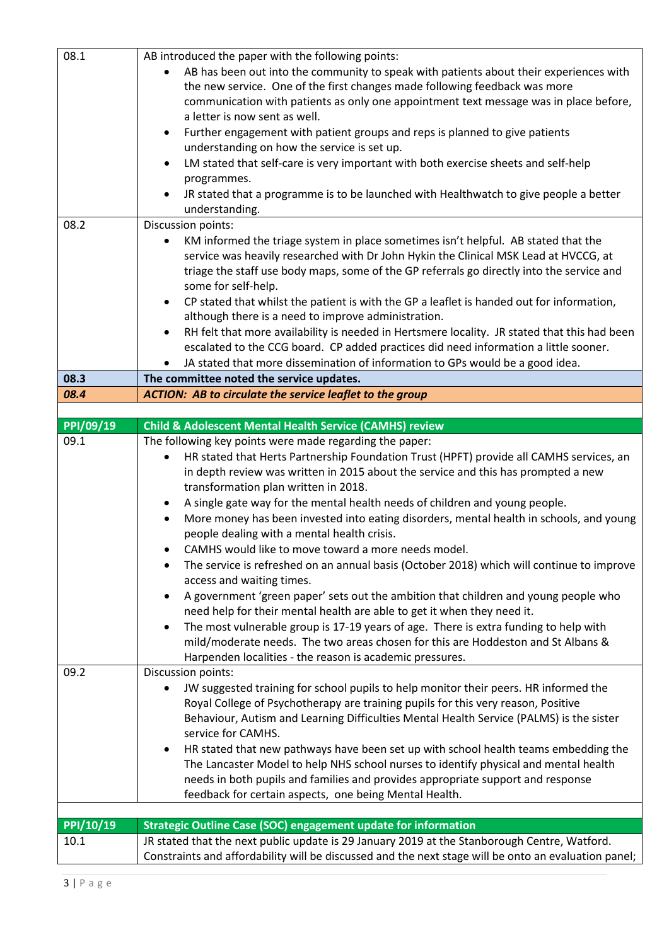| 08.1                   | AB introduced the paper with the following points:                                                                                                                                                   |
|------------------------|------------------------------------------------------------------------------------------------------------------------------------------------------------------------------------------------------|
|                        |                                                                                                                                                                                                      |
|                        | AB has been out into the community to speak with patients about their experiences with                                                                                                               |
|                        | the new service. One of the first changes made following feedback was more                                                                                                                           |
|                        | communication with patients as only one appointment text message was in place before,                                                                                                                |
|                        | a letter is now sent as well.                                                                                                                                                                        |
|                        | Further engagement with patient groups and reps is planned to give patients<br>$\bullet$                                                                                                             |
|                        | understanding on how the service is set up.                                                                                                                                                          |
|                        | LM stated that self-care is very important with both exercise sheets and self-help<br>$\bullet$                                                                                                      |
|                        | programmes.                                                                                                                                                                                          |
|                        | JR stated that a programme is to be launched with Healthwatch to give people a better                                                                                                                |
|                        |                                                                                                                                                                                                      |
|                        | understanding.                                                                                                                                                                                       |
| 08.2                   | Discussion points:                                                                                                                                                                                   |
|                        | KM informed the triage system in place sometimes isn't helpful. AB stated that the                                                                                                                   |
|                        | service was heavily researched with Dr John Hykin the Clinical MSK Lead at HVCCG, at                                                                                                                 |
|                        | triage the staff use body maps, some of the GP referrals go directly into the service and                                                                                                            |
|                        | some for self-help.                                                                                                                                                                                  |
|                        | CP stated that whilst the patient is with the GP a leaflet is handed out for information,<br>$\bullet$                                                                                               |
|                        | although there is a need to improve administration.                                                                                                                                                  |
|                        | RH felt that more availability is needed in Hertsmere locality. JR stated that this had been<br>$\bullet$                                                                                            |
|                        | escalated to the CCG board. CP added practices did need information a little sooner.                                                                                                                 |
|                        |                                                                                                                                                                                                      |
|                        | JA stated that more dissemination of information to GPs would be a good idea.                                                                                                                        |
| 08.3                   | The committee noted the service updates.                                                                                                                                                             |
| 08.4                   | <b>ACTION: AB to circulate the service leaflet to the group</b>                                                                                                                                      |
|                        |                                                                                                                                                                                                      |
| PPI/09/19              | <b>Child &amp; Adolescent Mental Health Service (CAMHS) review</b>                                                                                                                                   |
| 09.1                   | The following key points were made regarding the paper:                                                                                                                                              |
|                        | HR stated that Herts Partnership Foundation Trust (HPFT) provide all CAMHS services, an                                                                                                              |
|                        | in depth review was written in 2015 about the service and this has prompted a new                                                                                                                    |
|                        | transformation plan written in 2018.                                                                                                                                                                 |
|                        | A single gate way for the mental health needs of children and young people.                                                                                                                          |
|                        | More money has been invested into eating disorders, mental health in schools, and young                                                                                                              |
|                        | people dealing with a mental health crisis.                                                                                                                                                          |
|                        |                                                                                                                                                                                                      |
|                        | CAMHS would like to move toward a more needs model.                                                                                                                                                  |
|                        | The service is refreshed on an annual basis (October 2018) which will continue to improve                                                                                                            |
|                        | access and waiting times.                                                                                                                                                                            |
|                        | A government 'green paper' sets out the ambition that children and young people who                                                                                                                  |
|                        | need help for their mental health are able to get it when they need it.                                                                                                                              |
|                        | The most vulnerable group is 17-19 years of age. There is extra funding to help with<br>$\bullet$                                                                                                    |
|                        | mild/moderate needs. The two areas chosen for this are Hoddeston and St Albans &                                                                                                                     |
|                        | Harpenden localities - the reason is academic pressures.                                                                                                                                             |
| 09.2                   | Discussion points:                                                                                                                                                                                   |
|                        | JW suggested training for school pupils to help monitor their peers. HR informed the                                                                                                                 |
|                        | Royal College of Psychotherapy are training pupils for this very reason, Positive                                                                                                                    |
|                        |                                                                                                                                                                                                      |
|                        |                                                                                                                                                                                                      |
|                        | Behaviour, Autism and Learning Difficulties Mental Health Service (PALMS) is the sister                                                                                                              |
|                        | service for CAMHS.                                                                                                                                                                                   |
|                        | HR stated that new pathways have been set up with school health teams embedding the<br>$\bullet$                                                                                                     |
|                        | The Lancaster Model to help NHS school nurses to identify physical and mental health                                                                                                                 |
|                        | needs in both pupils and families and provides appropriate support and response                                                                                                                      |
|                        | feedback for certain aspects, one being Mental Health.                                                                                                                                               |
|                        |                                                                                                                                                                                                      |
|                        |                                                                                                                                                                                                      |
| $\overline{PPI/10/19}$ | <b>Strategic Outline Case (SOC) engagement update for information</b>                                                                                                                                |
| 10.1                   | JR stated that the next public update is 29 January 2019 at the Stanborough Centre, Watford.<br>Constraints and affordability will be discussed and the next stage will be onto an evaluation panel; |